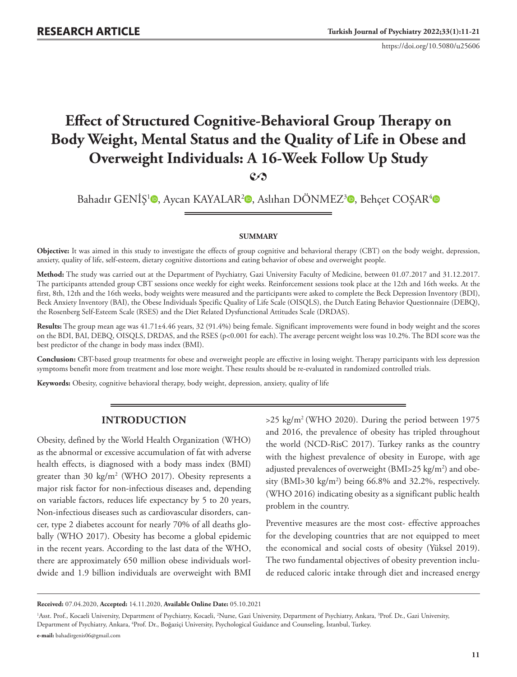https://doi.org/10.5080/u25606

# **Effect of Structured Cognitive-Behavioral Group Therapy on Body Weight, Mental Status and the Quality of Life in Obese and Overweight Individuals: A 16-Week Follow Up Study 2**

Bahadır GENİŞ<sup>1</sup> [,](https://orcid.org/0000-0001-8541-7670) Aycan KAYALAR<sup>2</sup> , Aslıhan DÖNMEZ<sup>3</sup> , Behçet COSAR<sup>[4](https://orcid.org/0000-0002-6422-499X)</sup>

#### **SUMMARY**

**Objective:** It was aimed in this study to investigate the effects of group cognitive and behavioral therapy (CBT) on the body weight, depression, anxiety, quality of life, self-esteem, dietary cognitive distortions and eating behavior of obese and overweight people.

**Method:** The study was carried out at the Department of Psychiatry, Gazi University Faculty of Medicine, between 01.07.2017 and 31.12.2017. The participants attended group CBT sessions once weekly for eight weeks. Reinforcement sessions took place at the 12th and 16th weeks. At the first, 8th, 12th and the 16th weeks, body weights were measured and the participants were asked to complete the Beck Depression Inventory (BDI), Beck Anxiety Inventory (BAI), the Obese Individuals Specific Quality of Life Scale (OISQLS), the Dutch Eating Behavior Questionnaire (DEBQ), the Rosenberg Self-Esteem Scale (RSES) and the Diet Related Dysfunctional Attitudes Scale (DRDAS).

**Results:** The group mean age was 41.71±4.46 years, 32 (91.4%) being female. Significant improvements were found in body weight and the scores on the BDI, BAI, DEBQ, OISQLS, DRDAS, and the RSES (p<0.001 for each). The average percent weight loss was 10.2%. The BDI score was the best predictor of the change in body mass index (BMI).

**Conclusion:** CBT-based group treatments for obese and overweight people are effective in losing weight. Therapy participants with less depression symptoms benefit more from treatment and lose more weight. These results should be re-evaluated in randomized controlled trials.

**Keywords:** Obesity, cognitive behavioral therapy, body weight, depression, anxiety, quality of life

### **INTRODUCTION**

Obesity, defined by the World Health Organization (WHO) as the abnormal or excessive accumulation of fat with adverse health effects, is diagnosed with a body mass index (BMI) greater than 30 kg/m2 (WHO 2017). Obesity represents a major risk factor for non-infectious diseases and, depending on variable factors, reduces life expectancy by 5 to 20 years, Non-infectious diseases such as cardiovascular disorders, cancer, type 2 diabetes account for nearly 70% of all deaths globally (WHO 2017). Obesity has become a global epidemic in the recent years. According to the last data of the WHO, there are approximately 650 million obese individuals worldwide and 1.9 billion individuals are overweight with BMI

 $>25$  kg/m<sup>2</sup> (WHO 2020). During the period between 1975 and 2016, the prevalence of obesity has tripled throughout the world (NCD-RisC 2017). Turkey ranks as the country with the highest prevalence of obesity in Europe, with age adjusted prevalences of overweight (BMI>25 kg/m<sup>2</sup>) and obesity (BMI>30 kg/m2 ) being 66.8% and 32.2%, respectively. (WHO 2016) indicating obesity as a significant public health problem in the country.

Preventive measures are the most cost- effective approaches for the developing countries that are not equipped to meet the economical and social costs of obesity (Yüksel 2019). The two fundamental objectives of obesity prevention include reduced caloric intake through diet and increased energy

**Received:** 07.04.2020, **Accepted:** 14.11.2020, **Available Online Date:** 05.10.2021

<sup>&</sup>lt;sup>1</sup>Asst. Prof., Kocaeli University, Department of Psychiatry, Kocaeli, <sup>2</sup>Nurse, Gazi University, Department of Psychiatry, Ankara, <sup>3</sup>Prof. Dr., Gazi University, Department of Psychiatry, Ankara, 4 Prof. Dr., Boğaziçi University, Psychological Guidance and Counseling, İstanbul, Turkey. **e-mail:** bahadirgenis06@gmail.com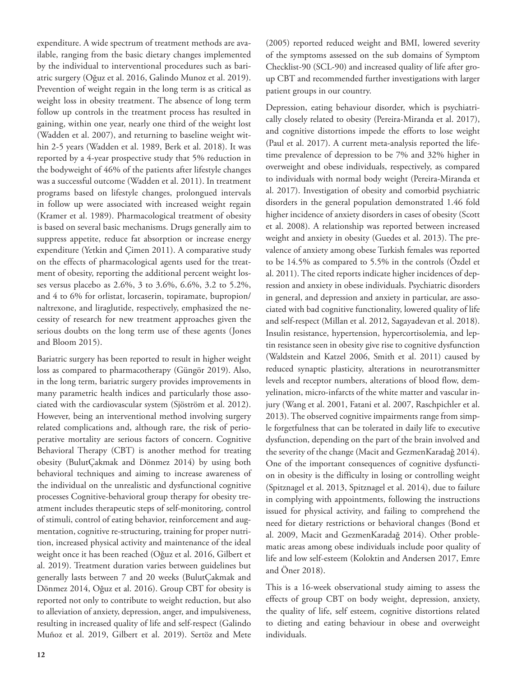expenditure. A wide spectrum of treatment methods are available, ranging from the basic dietary changes implemented by the individual to interventional procedures such as bariatric surgery (Oğuz et al. 2016, Galindo Munoz et al. 2019). Prevention of weight regain in the long term is as critical as weight loss in obesity treatment. The absence of long term follow up controls in the treatment process has resulted in gaining, within one year, nearly one third of the weight lost (Wadden et al. 2007), and returning to baseline weight within 2-5 years (Wadden et al. 1989, Berk et al. 2018). It was reported by a 4-year prospective study that 5% reduction in the bodyweight of 46% of the patients after lifestyle changes was a successful outcome (Wadden et al. 2011). In treatment programs based on lifestyle changes, prolongued intervals in follow up were associated with increased weight regain (Kramer et al. 1989). Pharmacological treatment of obesity is based on several basic mechanisms. Drugs generally aim to suppress appetite, reduce fat absorption or increase energy expenditure (Yetkin and Çimen 2011). A comparative study on the effects of pharmacological agents used for the treatment of obesity, reporting the additional percent weight losses versus placebo as 2.6%, 3 to 3.6%, 6.6%, 3.2 to 5.2%, and 4 to 6% for orlistat, lorcaserin, topiramate, bupropion/ naltrexone, and liraglutide, respectively, emphasized the necessity of research for new treatment approaches given the serious doubts on the long term use of these agents (Jones and Bloom 2015).

Bariatric surgery has been reported to result in higher weight loss as compared to pharmacotherapy (Güngör 2019). Also, in the long term, bariatric surgery provides improvements in many parametric health indices and particularly those associated with the cardiovascular system (Sjöström et al. 2012). However, being an interventional method involving surgery related complications and, although rare, the risk of perioperative mortality are serious factors of concern. Cognitive Behavioral Therapy (CBT) is another method for treating obesity (BulutÇakmak and Dönmez 2014) by using both behavioral techniques and aiming to increase awareness of the individual on the unrealistic and dysfunctional cognitive processes Cognitive-behavioral group therapy for obesity treatment includes therapeutic steps of self-monitoring, control of stimuli, control of eating behavior, reinforcement and augmentation, cognitive re-structuring, training for proper nutrition, increased physical activity and maintenance of the ideal weight once it has been reached (Oğuz et al. 2016, Gilbert et al. 2019). Treatment duration varies between guidelines but generally lasts between 7 and 20 weeks (BulutÇakmak and Dönmez 2014, Oğuz et al. 2016). Group CBT for obesity is reported not only to contribute to weight reduction, but also to alleviation of anxiety, depression, anger, and impulsiveness, resulting in increased quality of life and self-respect (Galindo Muñoz et al. 2019, Gilbert et al. 2019). Sertöz and Mete

(2005) reported reduced weight and BMI, lowered severity of the symptoms assessed on the sub domains of Symptom Checklist-90 (SCL-90) and increased quality of life after group CBT and recommended further investigations with larger patient groups in our country.

Depression, eating behaviour disorder, which is psychiatrically closely related to obesity (Pereira-Miranda et al. 2017), and cognitive distortions impede the efforts to lose weight (Paul et al. 2017). A current meta-analysis reported the lifetime prevalence of depression to be 7% and 32% higher in overweight and obese individuals, respectively, as compared to individuals with normal body weight (Pereira-Miranda et al. 2017). Investigation of obesity and comorbid psychiatric disorders in the general population demonstrated 1.46 fold higher incidence of anxiety disorders in cases of obesity (Scott et al. 2008). A relationship was reported between increased weight and anxiety in obesity (Guedes et al. 2013). The prevalence of anxiety among obese Turkish females was reported to be 14.5% as compared to 5.5% in the controls (Özdel et al. 2011). The cited reports indicate higher incidences of depression and anxiety in obese individuals. Psychiatric disorders in general, and depression and anxiety in particular, are associated with bad cognitive functionality, lowered quality of life and self-respect (Millan et al. 2012, Sagayadevan et al. 2018). Insulin resistance, hypertension, hypercortisolemia, and leptin resistance seen in obesity give rise to cognitive dysfunction (Waldstein and Katzel 2006, Smith et al. 2011) caused by reduced synaptic plasticity, alterations in neurotransmitter levels and receptor numbers, alterations of blood flow, demyelination, micro-infarcts of the white matter and vascular injury (Wang et al. 2001, Fatani et al. 2007, Raschpichler et al. 2013). The observed cognitive impairments range from simple forgetfulness that can be tolerated in daily life to executive dysfunction, depending on the part of the brain involved and the severity of the change (Macit and GezmenKaradağ 2014). One of the important consequences of cognitive dysfunction in obesity is the difficulty in losing or controlling weight (Spitznagel et al. 2013, Spitznagel et al. 2014), due to failure in complying with appointments, following the instructions issued for physical activity, and failing to comprehend the need for dietary restrictions or behavioral changes (Bond et al. 2009, Macit and GezmenKaradağ 2014). Other problematic areas among obese individuals include poor quality of life and low self-esteem (Koloktin and Andersen 2017, Emre and Öner 2018).

This is a 16-week observational study aiming to assess the effects of group CBT on body weight, depression, anxiety, the quality of life, self esteem, cognitive distortions related to dieting and eating behaviour in obese and overweight individuals.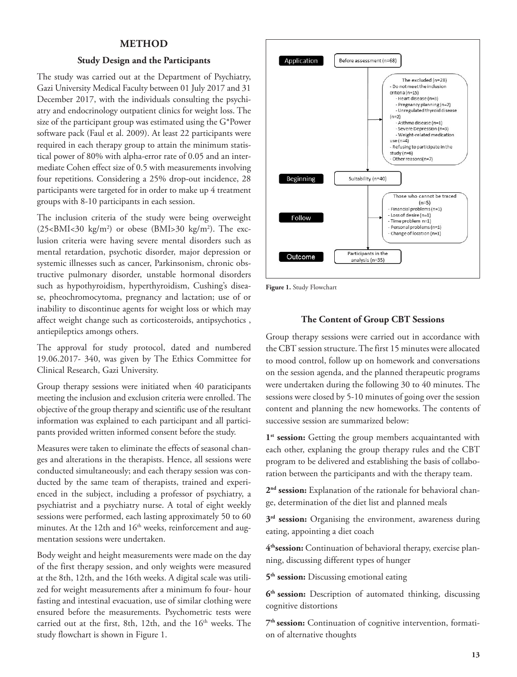### **METHOD**

#### **Study Design and the Participants**

The study was carried out at the Department of Psychiatry, Gazi University Medical Faculty between 01 July 2017 and 31 December 2017, with the individuals consulting the psychiatry and endocrinology outpatient clinics for weight loss. The size of the participant group was estimated using the G\*Power software pack (Faul et al. 2009). At least 22 participants were required in each therapy group to attain the minimum statistical power of 80% with alpha-error rate of 0.05 and an intermediate Cohen effect size of 0.5 with measurements involving four repetitions. Considering a 25% drop-out incidence, 28 participants were targeted for in order to make up 4 treatment groups with 8-10 participants in each session.

The inclusion criteria of the study were being overweight  $(25\text{--}BMI\text{--}30 \text{ kg/m}^2)$  or obese  $(BMI\text{--}30 \text{ kg/m}^2)$ . The exclusion criteria were having severe mental disorders such as mental retardation, psychotic disorder, major depression or systemic illnesses such as cancer, Parkinsonism, chronic obstructive pulmonary disorder, unstable hormonal disorders such as hypothyroidism, hyperthyroidism, Cushing's disease, pheochromocytoma, pregnancy and lactation; use of or inability to discontinue agents for weight loss or which may affect weight change such as corticosteroids, antipsychotics , antiepileptics amongs others.

The approval for study protocol, dated and numbered 19.06.2017- 340, was given by The Ethics Committee for Clinical Research, Gazi University.

Group therapy sessions were initiated when 40 paraticipants meeting the inclusion and exclusion criteria were enrolled. The objective of the group therapy and scientific use of the resultant information was explained to each participant and all participants provided written informed consent before the study.

Measures were taken to eliminate the effects of seasonal changes and alterations in the therapists. Hence, all sessions were conducted simultaneously; and each therapy session was conducted by the same team of therapists, trained and experienced in the subject, including a professor of psychiatry, a psychiatrist and a psychiatry nurse. A total of eight weekly sessions were performed, each lasting approximately 50 to 60 minutes. At the 12th and  $16<sup>th</sup>$  weeks, reinforcement and augmentation sessions were undertaken.

Body weight and height measurements were made on the day of the first therapy session, and only weights were measured at the 8th, 12th, and the 16th weeks. A digital scale was utilized for weight measurements after a minimum fo four- hour fasting and intestinal evacuation, use of similar clothing were ensured before the measurements. Psychometric tests were carried out at the first, 8th, 12th, and the 16<sup>th</sup> weeks. The study flowchart is shown in Figure 1.



**Figure 1.** Study Flowchart

#### **The Content of Group CBT Sessions**

Group therapy sessions were carried out in accordance with the CBT session structure. The first 15 minutes were allocated to mood control, follow up on homework and conversations on the session agenda, and the planned therapeutic programs were undertaken during the following 30 to 40 minutes. The sessions were closed by 5-10 minutes of going over the session content and planning the new homeworks. The contents of successive session are summarized below:

1<sup>st</sup> session: Getting the group members acquaintanted with each other, explaning the group therapy rules and the CBT program to be delivered and establishing the basis of collaboration between the participants and with the therapy team.

**2nd session:** Explanation of the rationale for behavioral change, determination of the diet list and planned meals

**3rd session:** Organising the environment, awareness during eating, appointing a diet coach

**4thsession:** Continuation of behavioral therapy, exercise planning, discussing different types of hunger

**5th session:** Discussing emotional eating

**6th session:** Description of automated thinking, discussing cognitive distortions

**7th session:** Continuation of cognitive intervention, formation of alternative thoughts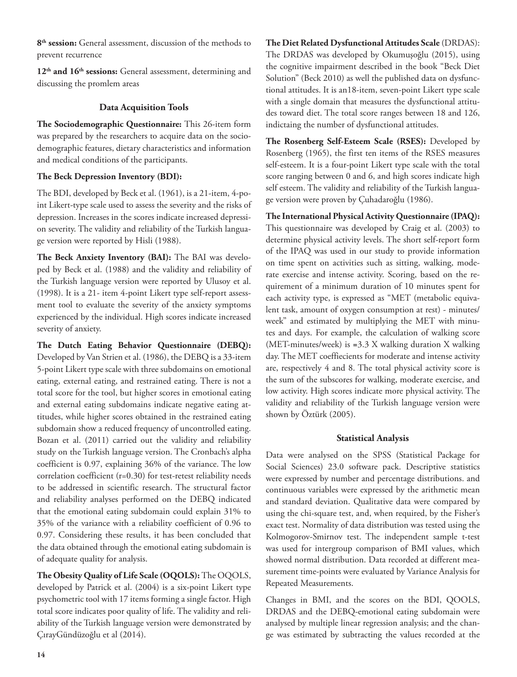**8th session:** General assessment, discussion of the methods to prevent recurrence

12<sup>th</sup> and 16<sup>th</sup> sessions: General assessment, determining and discussing the promlem areas

## **Data Acquisition Tools**

**The Sociodemographic Questionnaire:** This 26-item form was prepared by the researchers to acquire data on the sociodemographic features, dietary characteristics and information and medical conditions of the participants.

### **The Beck Depression Inventory (BDI):**

The BDI, developed by Beck et al. (1961), is a 21-item, 4-point Likert-type scale used to assess the severity and the risks of depression. Increases in the scores indicate increased depression severity. The validity and reliability of the Turkish language version were reported by Hisli (1988).

**The Beck Anxiety Inventory (BAI):** The BAI was developed by Beck et al. (1988) and the validity and reliability of the Turkish language version were reported by Ulusoy et al. (1998). It is a 21- item 4-point Likert type self-report assessment tool to evaluate the severity of the anxiety symptoms experienced by the individual. High scores indicate increased severity of anxiety.

**The Dutch Eating Behavior Questionnaire (DEBQ):**  Developed by Van Strien et al. (1986), the DEBQ is a 33-item 5-point Likert type scale with three subdomains on emotional eating, external eating, and restrained eating. There is not a total score for the tool, but higher scores in emotional eating and external eating subdomains indicate negative eating attitudes, while higher scores obtained in the restrained eating subdomain show a reduced frequency of uncontrolled eating. Bozan et al. (2011) carried out the validity and reliability study on the Turkish language version. The Cronbach's alpha coefficient is 0.97, explaining 36% of the variance. The low correlation coefficient (r=0.30) for test-retest reliability needs to be addressed in scientific research. The structural factor and reliability analyses performed on the DEBQ indicated that the emotional eating subdomain could explain 31% to 35% of the variance with a reliability coefficient of 0.96 to 0.97. Considering these results, it has been concluded that the data obtained through the emotional eating subdomain is of adequate quality for analysis.

**The Obesity Quality of Life Scale (OQOLS):** The OQOLS, developed by Patrick et al. (2004) is a six-point Likert type psychometric tool with 17 items forming a single factor. High total score indicates poor quality of life. The validity and reliability of the Turkish language version were demonstrated by ÇırayGündüzoğlu et al (2014).

**The Diet Related Dysfunctional Attitudes Scale** (DRDAS): The DRDAS was developed by Okumuşoğlu (2015), using the cognitive impairment described in the book "Beck Diet Solution" (Beck 2010) as well the published data on dysfunctional attitudes. It is an18-item, seven-point Likert type scale with a single domain that measures the dysfunctional attitudes toward diet. The total score ranges between 18 and 126, indictaing the number of dysfunctional attitudes.

**The Rosenberg Self-Esteem Scale (RSES):** Developed by Rosenberg (1965), the first ten items of the RSES measures self-esteem. It is a four-point Likert type scale with the total score ranging between 0 and 6, and high scores indicate high self esteem. The validity and reliability of the Turkish language version were proven by Çuhadaroğlu (1986).

**The International Physical Activity Questionnaire (IPAQ):**  This questionnaire was developed by Craig et al. (2003) to determine physical activity levels. The short self-report form of the IPAQ was used in our study to provide information on time spent on activities such as sitting, walking, moderate exercise and intense activity. Scoring, based on the requirement of a minimum duration of 10 minutes spent for each activity type, is expressed as "MET (metabolic equivalent task, amount of oxygen consumption at rest) - minutes/ week" and estimated by multiplying the MET with minutes and days. For example, the calculation of walking score (MET-minutes/week) is **=**3.3 X walking duration X walking day. The MET coeffiecients for moderate and intense activity are, respectively 4 and 8. The total physical activity score is the sum of the subscores for walking, moderate exercise, and low activity. High scores indicate more physical activity. The validity and reliability of the Turkish language version were shown by Öztürk (2005).

### **Statistical Analysis**

Data were analysed on the SPSS (Statistical Package for Social Sciences) 23.0 software pack. Descriptive statistics were expressed by number and percentage distributions. and continuous variables were expressed by the arithmetic mean and standard deviation. Qualitative data were compared by using the chi-square test, and, when required, by the Fisher's exact test. Normality of data distribution was tested using the Kolmogorov-Smirnov test. The independent sample t-test was used for intergroup comparison of BMI values, which showed normal distribution. Data recorded at different measurement time-points were evaluated by Variance Analysis for Repeated Measurements.

Changes in BMI, and the scores on the BDI, QOOLS, DRDAS and the DEBQ-emotional eating subdomain were analysed by multiple linear regression analysis; and the change was estimated by subtracting the values recorded at the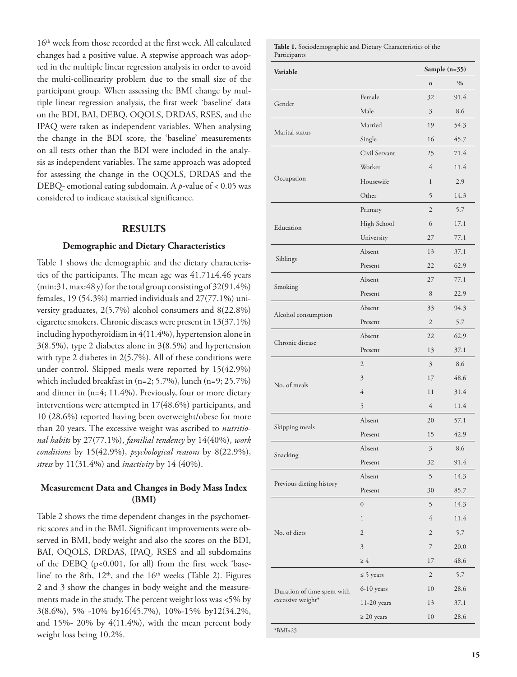16th week from those recorded at the first week. All calculated changes had a positive value. A stepwise approach was adopted in the multiple linear regression analysis in order to avoid the multi-collinearity problem due to the small size of the participant group. When assessing the BMI change by multiple linear regression analysis, the first week 'baseline' data on the BDI, BAI, DEBQ, OQOLS, DRDAS, RSES, and the IPAQ were taken as independent variables. When analysing the change in the BDI score, the 'baseline' measurements on all tests other than the BDI were included in the analysis as independent variables. The same approach was adopted for assessing the change in the OQOLS, DRDAS and the DEBQ- emotional eating subdomain. A *p*-value of < 0.05 was considered to indicate statistical significance.

#### **RESULTS**

#### **Demographic and Dietary Characteristics**

Table 1 shows the demographic and the dietary characteristics of the participants. The mean age was 41.71±4.46 years (min:31, max:48 y) for the total group consisting of 32(91.4%) females, 19 (54.3%) married individuals and 27(77.1%) university graduates, 2(5.7%) alcohol consumers and 8(22.8%) cigarette smokers. Chronic diseases were present in 13(37.1%) including hypothyroidism in 4(11.4%), hypertension alone in 3(8.5%), type 2 diabetes alone in 3**(**8.5%) and hypertension with type 2 diabetes in 2(5.7%). All of these conditions were under control. Skipped meals were reported by 15(42.9%) which included breakfast in (n=2; 5.7%), lunch (n=9; 25.7%) and dinner in (n=4; 11.4%). Previously, four or more dietary interventions were attempted in 17(48.6%) participants, and 10 (28.6%) reported having been overweight/obese for more than 20 years. The excessive weight was ascribed to *nutritional habits* by 27(77.1%), *familial tendency* by 14(40%), *work conditions* by 15(42.9%), *psychological reasons* by 8(22.9%), *stress* by 11(31.4%) and *inactivity* by 14 (40%).

### **Measurement Data and Changes in Body Mass Index (BMI)**

Table 2 shows the time dependent changes in the psychometric scores and in the BMI. Significant improvements were observed in BMI, body weight and also the scores on the BDI, BAI, OQOLS, DRDAS, IPAQ, RSES and all subdomains of the DEBQ (p<0.001, for all) from the first week 'baseline' to the 8th,  $12<sup>th</sup>$ , and the  $16<sup>th</sup>$  weeks (Table 2). Figures 2 and 3 show the changes in body weight and the measurements made in the study. The percent weight loss was <5% by 3(8.6%), 5% -10% by16(45.7%), 10%-15% by12(34.2%, and  $15\%$ - 20% by  $4(11.4\%)$ , with the mean percent body weight loss being 10.2%.

**Table 1.** Sociodemographic and Dietary Characteristics of the Participants

| Variable                    |                  | Sample (n=35)  |               |
|-----------------------------|------------------|----------------|---------------|
|                             |                  | $\mathbf n$    | $\frac{0}{0}$ |
|                             | Female           | 32             | 91.4          |
| Gender                      | Male             | 3              | 8.6           |
|                             | Married          | 19             | 54.3          |
| Marital status              | Single           | 16             | 45.7          |
|                             | Civil Servant    | 25             | 71.4          |
|                             | Worker           | $\overline{4}$ | 11.4          |
| Occupation                  | Housewife        | $\mathbf{1}$   | 2.9           |
|                             | Other            | 5              | 14.3          |
|                             | Primary          | $\overline{2}$ | 5.7           |
| Education                   | High School      | 6              | 17.1          |
|                             | University       | 27             | 77.1          |
|                             | Absent           | 13             | 37.1          |
| Siblings                    | Present          | 22             | 62.9          |
|                             | Absent           | 27             | 77.1          |
| Smoking                     | Present          | 8              | 22.9          |
|                             | Absent           | 33             | 94.3          |
| Alcohol consumption         | Present          | $\mathfrak{2}$ | 5.7           |
|                             | Absent           | 22             | 62.9          |
| Chronic disease             | Present          | 13             | 37.1          |
|                             | $\overline{2}$   | 3              | 8.6           |
|                             | 3                | 17             | 48.6          |
| No. of meals                | $\overline{4}$   | 11             | 31.4          |
|                             | 5                | $\overline{4}$ | 11.4          |
|                             | Absent           | 20             | 57.1          |
| Skipping meals              | Present          | 15             | 42.9          |
|                             | Absent           | $\mathfrak{Z}$ | $8.6\,$       |
| Snacking                    | Present          | 32             | 91.4          |
|                             | Absent           | 5              | 14.3          |
| Previous dieting history    | Present          | 30             | 85.7          |
|                             | $\boldsymbol{0}$ | 5              | 14.3          |
|                             | 1                | $\overline{4}$ | 11.4          |
| No. of diets                | $\overline{c}$   | $\mathfrak{2}$ | 5.7           |
|                             | 3                | $\overline{7}$ | 20.0          |
|                             | $\geq 4$         | 17             | 48.6          |
|                             | $\leq$ 5 years   | 2              | 5.7           |
| Duration of time spent with | 6-10 years       | 10             | 28.6          |
| excessive weight*           | 11-20 years      | 13             | 37.1          |
|                             | $\geq 20$ years  | 10             | 28.6          |
| $*RMI25$                    |                  |                |               |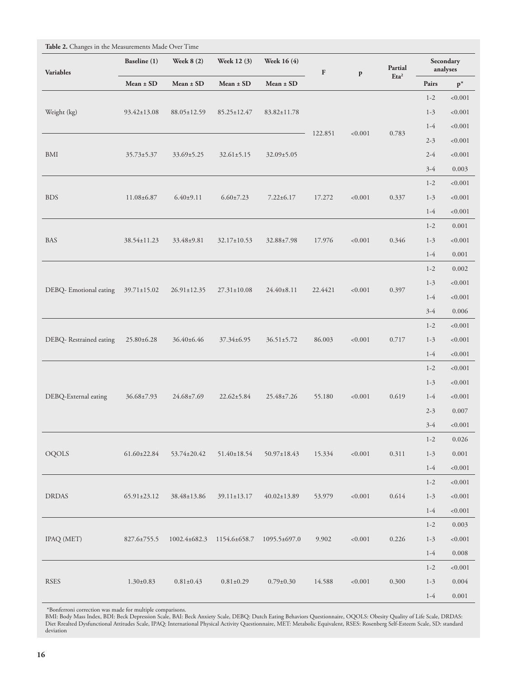| <b>Variables</b>       | Baseline (1)<br>Mean ± SD | <b>Week 8 (2)</b><br>Mean ± SD | Week 12 (3)                            | <b>Week 16 (4)</b> | $\mathbf F$ | $\, {\bf p}$ | Partial<br>Eta <sup>2</sup> | Secondary<br>analyses |                |
|------------------------|---------------------------|--------------------------------|----------------------------------------|--------------------|-------------|--------------|-----------------------------|-----------------------|----------------|
|                        |                           |                                | $Mean \pm SD$                          | Mean ± SD          |             |              |                             | Pairs                 | $\mathbf{p}^*$ |
| Weight (kg)            | 93.42±13.08               | 88.05±12.59                    | 85.25±12.47                            | 83.82±11.78        | 122.851     |              | 0.783                       | $1 - 2$               | < 0.001        |
|                        |                           |                                |                                        |                    |             |              |                             | $1 - 3$               | < 0.001        |
|                        |                           |                                |                                        |                    |             |              |                             | $1-4$                 | < 0.001        |
| <b>BMI</b>             | $35.73 \pm 5.37$          | $33.69 \pm 5.25$               | $32.61 \pm 5.15$                       | $32.09 \pm 5.05$   |             | < 0.001      |                             | $2 - 3$               | < 0.001        |
|                        |                           |                                |                                        |                    |             |              |                             | $2 - 4$               | < 0.001        |
|                        |                           |                                |                                        |                    |             |              |                             | $3-4$                 | 0.003          |
|                        | 11.08±6.87                | $6.40 \pm 9.11$                | $6.60 \pm 7.23$                        | $7.22 \pm 6.17$    | 17.272      | < 0.001      | 0.337                       | $1 - 2$               | < 0.001        |
| <b>BDS</b>             |                           |                                |                                        |                    |             |              |                             | $1-3$                 | < 0.001        |
|                        |                           |                                |                                        |                    |             |              |                             | $1-4$                 | < 0.001        |
|                        |                           | $33.48 \pm 9.81$               | $32.17 \pm 10.53$                      |                    |             | < 0.001      | 0.346                       | $1 - 2$               | 0.001          |
| <b>BAS</b>             | 38.54±11.23               |                                |                                        | $32.88 \pm 7.98$   | 17.976      |              |                             | $1 - 3$               | < 0.001        |
|                        |                           |                                |                                        |                    |             |              |                             | $1-4$                 | 0.001          |
| DEBQ-Emotional eating  |                           | $26.91 \pm 12.35$              | $27.31 \pm 10.08$                      | $24.40 \pm 8.11$   |             | < 0.001      | 0.397                       | $1 - 2$               | 0.002          |
|                        |                           |                                |                                        |                    | 22.4421     |              |                             | $1 - 3$               | < 0.001        |
|                        | $39.71 \pm 15.02$         |                                |                                        |                    |             |              |                             | $1-4$                 | < 0.001        |
|                        |                           |                                |                                        |                    |             |              |                             | $3-4$                 | 0.006          |
| DEBQ-Restrained eating | 25.80±6.28                | 36.40±6.46                     | 37.34±6.95                             | $36.51 \pm 5.72$   | 86.003      | ${<}0.001$   | 0.717                       | $1 - 2$               | ${<}0.001$     |
|                        |                           |                                |                                        |                    |             |              |                             | $1-3$                 | < 0.001        |
|                        |                           |                                |                                        |                    |             |              |                             | $1-4$                 | ${<}0.001$     |
| DEBQ-External eating   | 36.68±7.93                | $24.68 \pm 7.69$               | $22.62 \pm 5.84$                       | 25.48±7.26         | 55.180      | < 0.001      | 0.619                       | $1 - 2$               | ${<}0.001$     |
|                        |                           |                                |                                        |                    |             |              |                             | $1 - 3$               | < 0.001        |
|                        |                           |                                |                                        |                    |             |              |                             | $1-4$                 | < 0.001        |
|                        |                           |                                |                                        |                    |             |              |                             | $2 - 3$               | 0.007          |
|                        |                           |                                |                                        |                    |             |              |                             | $3-4$                 | < 0.001        |
| OQOLS                  | $61.60 \pm 22.84$         | 53.74±20.42                    | $51.40 \pm 18.54$                      | 50.97±18.43        | 15.334      | < 0.001      | 0.311                       | $1 - 2$               | 0.026          |
|                        |                           |                                |                                        |                    |             |              |                             | $1 - 3$               | 0.001          |
|                        |                           |                                |                                        |                    |             |              |                             | $1-4$                 | ${<}0.001$     |
| <b>DRDAS</b>           | $65.91 \pm 23.12$         | 38.48±13.86                    | $39.11 \pm 13.17$                      | $40.02 \pm 13.89$  | 53.979      | < 0.001      | 0.614                       | $1 - 2$               | ${<}0.001$     |
|                        |                           |                                |                                        |                    |             |              |                             | $1 - 3$               | ${<}0.001$     |
|                        |                           |                                |                                        |                    |             |              |                             | $1-4$                 | ${<}0.001$     |
| IPAQ (MET)             | $827.6 \pm 755.5$         |                                | 1002.4±682.3 1154.6±658.7 1095.5±697.0 |                    | 9.902       | < 0.001      | 0.226                       | $1 - 2$               | 0.003          |
|                        |                           |                                |                                        |                    |             |              |                             | $1 - 3$               | ${<}0.001$     |
|                        |                           |                                |                                        |                    |             |              |                             | $1-4$                 | 0.008          |
|                        |                           | $0.81 \pm 0.43$                | $0.81 \pm 0.29$                        | $0.79 \pm 0.30$    |             |              | 0.300                       | $1 - 2$               | ${<}0.001$     |
| <b>RSES</b>            | $1.30 \pm 0.83$           |                                |                                        |                    | 14.588      | < 0.001      |                             | $1 - 3$               | 0.004          |
|                        |                           |                                |                                        |                    |             |              |                             | $1-4$                 | 0.001          |

\*Bonferroni correction was made for multiple comparisons.

BMI: Body Mass Index, BDI: Beck Depression Scale, BAI: Beck Anxiety Scale, DEBQ: Dutch Eating Behaviors Questionnaire, OQOLS: Obesity Quality of Life Scale, DRDAS:<br>Diet Rrealted Dysfunctional Attitudes Scale, IPAQ: Interna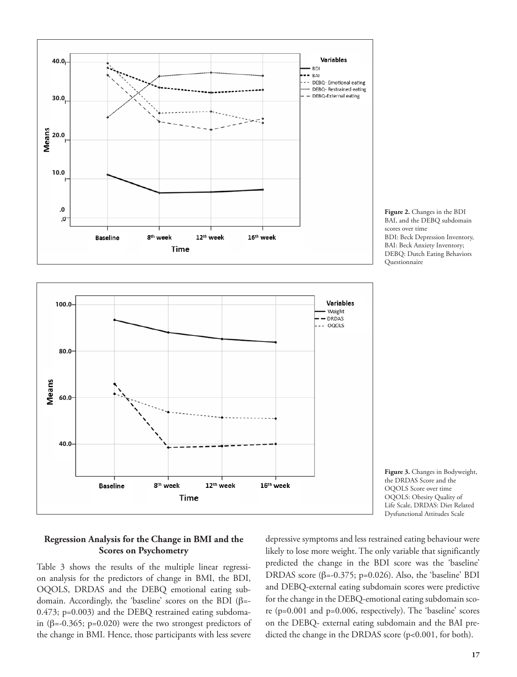



**Figure 3.** Changes in Bodyweight, the DRDAS Score and the OQOLS Score over time OQOLS: Obesity Quality of Life Scale, DRDAS: Diet Related Dysfunctional Attitudes Scale

### **Regression Analysis for the Change in BMI and the Scores on Psychometry**

Table 3 shows the results of the multiple linear regression analysis for the predictors of change in BMI, the BDI, OQOLS, DRDAS and the DEBQ emotional eating subdomain. Accordingly, the 'baseline' scores on the BDI (β=- 0.473; p=0.003) and the DEBQ restrained eating subdomain ( $\beta$ =-0.365; p=0.020) were the two strongest predictors of the change in BMI. Hence, those participants with less severe depressive symptoms and less restrained eating behaviour were likely to lose more weight. The only variable that significantly predicted the change in the BDI score was the 'baseline' DRDAS score (β=-0.375; p=0.026). Also, the 'baseline' BDI and DEBQ-external eating subdomain scores were predictive for the change in the DEBQ-emotional eating subdomain score (p=0.001 and p=0.006, respectively). The 'baseline' scores on the DEBQ- external eating subdomain and the BAI predicted the change in the DRDAS score (p<0.001, for both).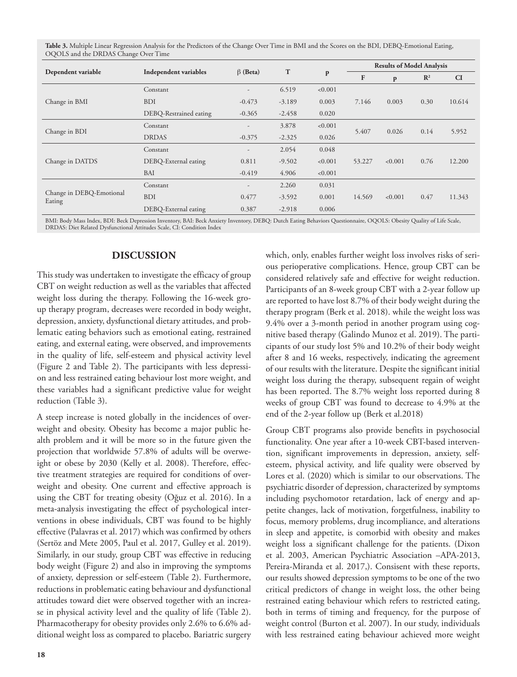**Table 3.** Multiple Linear Regression Analysis for the Predictors of the Change Over Time in BMI and the Scores on the BDI, DEBQ-Emotional Eating, OQOLS and the DRDAS Change Over Time

|                                    | Independent variables  | $\beta$ (Beta) | T        | p       | <b>Results of Model Analysis</b> |         |                |        |
|------------------------------------|------------------------|----------------|----------|---------|----------------------------------|---------|----------------|--------|
| Dependent variable                 |                        |                |          |         | $\mathbf{F}$                     | P       | $\mathbb{R}^2$ | CI     |
| Change in BMI                      | Constant               | -              | 6.519    | < 0.001 |                                  |         |                |        |
|                                    | <b>BDI</b>             | $-0.473$       | $-3.189$ | 0.003   | 7.146                            | 0.003   | 0.30           | 10.614 |
|                                    | DEBQ-Restrained eating | $-0.365$       | $-2.458$ | 0.020   |                                  |         |                |        |
| Change in BDI                      | Constant               |                | 3.878    | < 0.001 |                                  | 0.026   | 0.14           | 5.952  |
|                                    | <b>DRDAS</b>           | $-0.375$       | $-2.325$ | 0.026   | 5.407                            |         |                |        |
| Change in DATDS                    | Constant               |                | 2.054    | 0.048   |                                  |         |                |        |
|                                    | DEBQ-External eating   | 0.811          | $-9.502$ | < 0.001 | 53.227<br>< 0.001                |         | 0.76           | 12.200 |
|                                    | <b>BAI</b>             | $-0.419$       | 4.906    | < 0.001 |                                  |         |                |        |
| Change in DEBQ-Emotional<br>Eating | Constant               | -              | 2.260    | 0.031   |                                  |         |                |        |
|                                    | <b>BDI</b>             | 0.477          | $-3.592$ | 0.001   | 14.569                           | < 0.001 | 0.47           | 11.343 |
|                                    | DEBQ-External eating   | 0.387          | $-2.918$ | 0.006   |                                  |         |                |        |

BMI: Body Mass Index, BDI: Beck Depression Inventory, BAI: Beck Anxiety Inventory, DEBQ: Dutch Eating Behaviors Questionnaire, OQOLS: Obesity Quality of Life Scale, DRDAS: Diet Related Dysfunctional Attitudes Scale, CI: Condition Index

### **DISCUSSION**

This study was undertaken to investigate the efficacy of group CBT on weight reduction as well as the variables that affected weight loss during the therapy. Following the 16-week group therapy program, decreases were recorded in body weight, depression, anxiety, dysfunctional dietary attitudes, and problematic eating behaviors such as emotional eating, restrained eating, and external eating, were observed, and improvements in the quality of life, self-esteem and physical activity level (Figure 2 and Table 2). The participants with less depression and less restrained eating behaviour lost more weight, and these variables had a significant predictive value for weight reduction (Table 3).

A steep increase is noted globally in the incidences of overweight and obesity. Obesity has become a major public health problem and it will be more so in the future given the projection that worldwide 57.8% of adults will be overweight or obese by 2030 (Kelly et al. 2008). Therefore, effective treatment strategies are required for conditions of overweight and obesity. One current and effective approach is using the CBT for treating obesity (Oğuz et al. 2016). In a meta-analysis investigating the effect of psychological interventions in obese individuals, CBT was found to be highly effective (Palavras et al. 2017) which was confirmed by others (Sertöz and Mete 2005, Paul et al. 2017, Gulley et al. 2019). Similarly, in our study, group CBT was effective in reducing body weight (Figure 2) and also in improving the symptoms of anxiety, depression or self-esteem (Table 2). Furthermore, reductions in problematic eating behaviour and dysfunctional attitudes toward diet were observed together with an increase in physical activity level and the quality of life (Table 2). Pharmacotherapy for obesity provides only 2.6% to 6.6% additional weight loss as compared to placebo. Bariatric surgery

which, only, enables further weight loss involves risks of serious perioperative complications. Hence, group CBT can be considered relatively safe and effective for weight reduction. Participants of an 8-week group CBT with a 2-year follow up are reported to have lost 8.7% of their body weight during the therapy program (Berk et al. 2018). while the weight loss was 9.4% over a 3-month period in another program using cognitive based therapy (Galindo Munoz et al. 2019). The participants of our study lost 5% and 10.2% of their body weight after 8 and 16 weeks, respectively, indicating the agreement of our results with the literature. Despite the significant initial weight loss during the therapy, subsequent regain of weight has been reported. The 8.7% weight loss reported during 8 weeks of group CBT was found to decrease to 4.9% at the end of the 2-year follow up (Berk et al.2018)

Group CBT programs also provide benefits in psychosocial functionality. One year after a 10-week CBT-based intervention, significant improvements in depression, anxiety, selfesteem, physical activity, and life quality were observed by Lores et al. (2020) which is similar to our observations. The psychiatric disorder of depression, characterized by symptoms including psychomotor retardation, lack of energy and appetite changes, lack of motivation, forgetfulness, inability to focus, memory problems, drug incompliance, and alterations in sleep and appetite, is comorbid with obesity and makes weight loss a significant challenge for the patients. (Dixon et al. 2003, American Psychiatric Association –APA-2013, Pereira-Miranda et al. 2017,). Consisent with these reports, our results showed depression symptoms to be one of the two critical predictors of change in weight loss, the other being restrained eating behaviour which refers to restricted eating, both in terms of timing and frequency, for the purpose of weight control (Burton et al. 2007). In our study, individuals with less restrained eating behaviour achieved more weight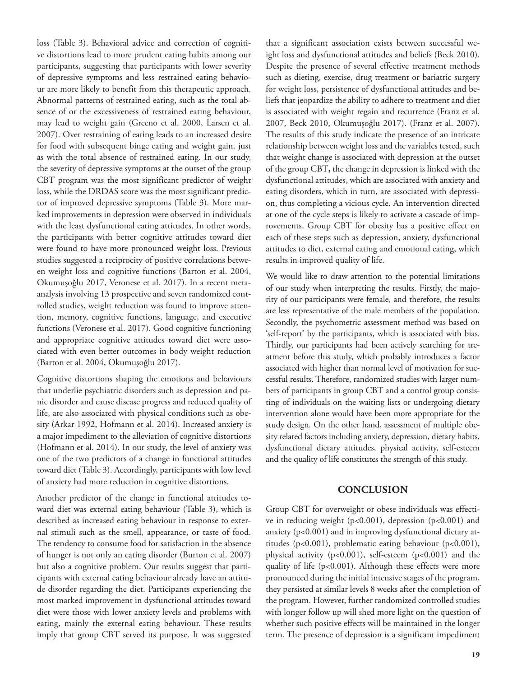loss (Table 3). Behavioral advice and correction of cognitive distortions lead to more prudent eating habits among our participants, suggesting that participants with lower severity of depressive symptoms and less restrained eating behaviour are more likely to benefit from this therapeutic approach. Abnormal patterns of restrained eating, such as the total absence of or the excessiveness of restrained eating behaviour, may lead to weight gain (Greeno et al. 2000, Larsen et al. 2007). Over restraining of eating leads to an increased desire for food with subsequent binge eating and weight gain. just as with the total absence of restrained eating. In our study, the severity of depressive symptoms at the outset of the group CBT program was the most significant predictor of weight loss, while the DRDAS score was the most significant predictor of improved depressive symptoms (Table 3). More marked improvements in depression were observed in individuals with the least dysfunctional eating attitudes. In other words, the participants with better cognitive attitudes toward diet were found to have more pronounced weight loss. Previous studies suggested a reciprocity of positive correlations between weight loss and cognitive functions (Barton et al. 2004, Okumuşoğlu 2017, Veronese et al. 2017). In a recent metaanalysis involving 13 prospective and seven randomized controlled studies, weight reduction was found to improve attention, memory, cognitive functions, language, and executive functions (Veronese et al. 2017). Good cognitive functioning and appropriate cognitive attitudes toward diet were associated with even better outcomes in body weight reduction (Barton et al. 2004, Okumuşoğlu 2017).

Cognitive distortions shaping the emotions and behaviours that underlie psychiatric disorders such as depression and panic disorder and cause disease progress and reduced quality of life, are also associated with physical conditions such as obesity (Arkar 1992, Hofmann et al. 2014). Increased anxiety is a major impediment to the alleviation of cognitive distortions (Hofmann et al. 2014). In our study, the level of anxiety was one of the two predictors of a change in functional attitudes toward diet (Table 3). Accordingly, participants with low level of anxiety had more reduction in cognitive distortions.

Another predictor of the change in functional attitudes toward diet was external eating behaviour (Table 3), which is described as increased eating behaviour in response to external stimuli such as the smell, appearance, or taste of food. The tendency to consume food for satisfaction in the absence of hunger is not only an eating disorder (Burton et al. 2007) but also a cognitive problem. Our results suggest that participants with external eating behaviour already have an attitude disorder regarding the diet. Participants experiencing the most marked improvement in dysfunctional attitudes toward diet were those with lower anxiety levels and problems with eating, mainly the external eating behaviour. These results imply that group CBT served its purpose. It was suggested that a significant association exists between successful weight loss and dysfunctional attitudes and beliefs (Beck 2010). Despite the presence of several effective treatment methods such as dieting, exercise, drug treatment or bariatric surgery for weight loss, persistence of dysfunctional attitudes and beliefs that jeopardize the ability to adhere to treatment and diet is associated with weight regain and recurrence (Franz et al. 2007, Beck 2010, Okumuşoğlu 2017). (Franz et al. 2007). The results of this study indicate the presence of an intricate relationship between weight loss and the variables tested, such that weight change is associated with depression at the outset of the group CBT**,** the change in depression is linked with the dysfunctional attitudes, which are associated with anxiety and eating disorders, which in turn, are associated with depression, thus completing a vicious cycle. An intervention directed at one of the cycle steps is likely to activate a cascade of improvements. Group CBT for obesity has a positive effect on each of these steps such as depression, anxiety, dysfunctional attitudes to diet, external eating and emotional eating, which results in improved quality of life.

We would like to draw attention to the potential limitations of our study when interpreting the results. Firstly, the majority of our participants were female, and therefore, the results are less representative of the male members of the population. Secondly, the psychometric assessment method was based on 'self-report' by the participants, which is associated with bias. Thirdly, our participants had been actively searching for treatment before this study, which probably introduces a factor associated with higher than normal level of motivation for successful results. Therefore, randomized studies with larger numbers of participants in group CBT and a control group consisting of individuals on the waiting lists or undergoing dietary intervention alone would have been more appropriate for the study design. On the other hand, assessment of multiple obesity related factors including anxiety, depression, dietary habits, dysfunctional dietary attitudes, physical activity, self-esteem and the quality of life constitutes the strength of this study.

#### **CONCLUSION**

Group CBT for overweight or obese individuals was effective in reducing weight (p<0.001), depression (p<0.001) and anxiety (p<0.001) and in improving dysfunctional dietary attitudes (p<0.001), problematic eating behaviour (p<0.001), physical activity (p<0.001), self-esteem (p<0.001) and the quality of life (p<0.001). Although these effects were more pronounced during the initial intensive stages of the program, they persisted at similar levels 8 weeks after the completion of the program. However, further randomized controlled studies with longer follow up will shed more light on the question of whether such positive effects will be maintained in the longer term. The presence of depression is a significant impediment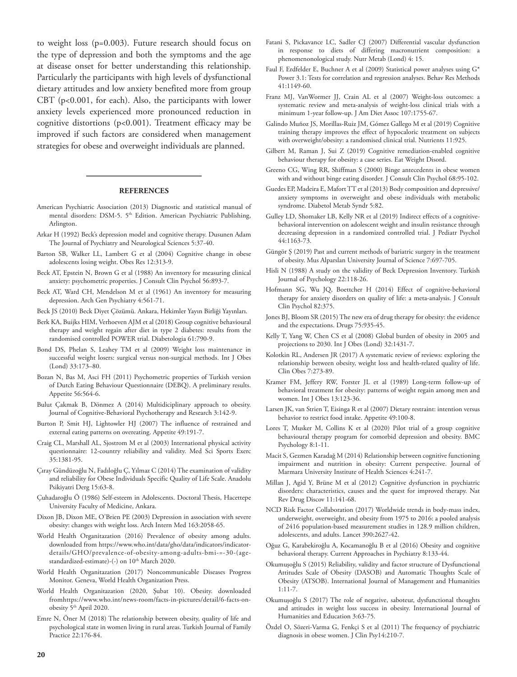to weight loss (p=0.003). Future research should focus on the type of depression and both the symptoms and the age at disease onset for better understanding this relationship. Particularly the participants with high levels of dysfunctional dietary attitudes and low anxiety benefited more from group CBT (p<0.001, for each). Also, the participants with lower anxiety levels experienced more pronounced reduction in cognitive distortions (p<0.001). Treatment efficacy may be improved if such factors are considered when management strategies for obese and overweight individuals are planned.

#### **REFERENCES**

- American Psychiatric Association (2013) Diagnostic and statistical manual of mental disorders: DSM-5. 5<sup>th</sup> Edition. American Psychiatric Publishing, Arlington.
- Arkar H (1992) Beck's depression model and cognitive therapy. Dusunen Adam The Journal of Psychiatry and Neurological Sciences 5:37-40.
- Barton SB, Walker LL, Lambert G et al (2004) Cognitive change in obese adolescents losing weight. Obes Res 12:313-9.
- Beck AT, Epstein N, Brown G et al (1988) An inventory for measuring clinical anxiety: psychometric properties. J Consult Clin Psychol 56:893-7.
- Beck AT, Ward CH, Mendelson M et al (1961) An inventory for measuring depression. Arch Gen Psychiatry 4:561-71.
- Beck JS (2010) Beck Diyet Çözümü. Ankara, Hekimler Yayın Birliği Yayınları.
- Berk KA, Buijks HIM, Verhoeven AJM et al (2018) Group cognitive behavioural therapy and weight regain after diet in type 2 diabetes: results from the randomised controlled POWER trial. Diabetologia 61:790-9.
- Bond DS, Phelan S, Leahey TM et al (2009) Weight loss maintenance in successful weight losers: surgical versus non-surgical methods. Int J Obes (Lond) 33:173–80.
- Bozan N, Bas M, Asci FH (2011) Psychometric properties of Turkish version of Dutch Eating Behaviour Questionnaire (DEBQ). A preliminary results. Appetite 56:564-6.
- Bulut Çakmak B, Dönmez A (2014) Multidiciplinary approach to obesity. Journal of Cognitive-Behavioral Psychotherapy and Research 3:142-9.
- Burton P, Smit HJ, Lightowler HJ (2007) The influence of restrained and external eating patterns on overeating. Appetite 49:191-7.
- Craig CL, Marshall AL, Sjostrom M et al (2003) International physical activity questionnaire: 12-country reliability and validity. Med Sci Sports Exerc 35:1381-95.
- Çıray Gündüzoğlu N, Fadıloğlu Ç, Yılmaz C (2014) The examination of validity and reliability for Obese Individuals Specific Quality of Life Scale. Anadolu Psikiyatri Derg 15:63-8.
- Çuhadaroğlu Ö (1986) Self-esteem in Adolescents. Doctoral Thesis, Hacettepe University Faculty of Medicine, Ankara.
- Dixon JB, Dixon ME, O'Brien PE (2003) Depression in association with severe obesity: changes with weight loss. Arch Intern Med 163:2058-65.
- World Health Organitazation (2016) Prevalence of obesity among adults. downloaded from https://www.who.int/data/gho/data/indicators/indicatordetails/GHO/prevalence-of-obesity-among-adults-bmi-=-30-(agestandardized-estimate)-(-) on 10<sup>th</sup> March 2020.
- World Health Organitazation (2017) Noncommunicable Diseases Progress Monitor. Geneva, World Health Organization Press.
- World Health Organitazation (2020, Şubat 10). Obesity. downloaded fromhttps://www.who.int/news-room/facts-in-pictures/detail/6-facts-onobesity 5<sup>th</sup> April 2020.
- Emre N, Öner M (2018) The relationship between obesity, quality of life and psychological state in women living in rural areas. Turkish Journal of Family Practice 22:176-84.
- Fatani S, Pickavance LC, Sadler CJ (2007) Differential vascular dysfunction in response to diets of differing macronutrient composition: a phenomenonological study. Nutr Metab (Lond) 4: 15.
- Faul F, Erdfelder E, Buchner A et al (2009) Statistical power analyses using G\* Power 3.1: Tests for correlation and regression analyses. Behav Res Methods  $41:1149-60$ .
- Franz MJ, VanWormer JJ, Crain AL et al (2007) Weight-loss outcomes: a systematic review and meta-analysis of weight-loss clinical trials with a minimum 1-year follow-up. J Am Diet Assoc 107:1755-67.
- Galindo Muñoz JS, Morillas-Ruiz JM, Gómez Gallego M et al (2019) Cognitive training therapy improves the effect of hypocaloric treatment on subjects with overweight/obesity: a randomised clinical trial. Nutrients 11:925.
- Gilbert M, Raman J, Sui Z (2019) Cognitive remediation-enabled cognitive behaviour therapy for obesity: a case series. Eat Weight Disord.
- Greeno CG, Wing RR, Shiffman S (2000) Binge antecedents in obese women with and without binge eating disorder. J Consult Clin Psychol 68:95-102.
- Guedes EP, Madeira E, Mafort TT et al (2013) Body composition and depressive/ anxiety symptoms in overweight and obese individuals with metabolic syndrome. Diabetol Metab Syndr 5:82.
- Gulley LD, Shomaker LB, Kelly NR et al (2019) Indirect effects of a cognitivebehavioral intervention on adolescent weight and insulin resistance through decreasing depression in a randomized controlled trial. J Pediatr Psychol 44:1163-73.
- Güngör Ş (2019) Past and current methods of bariatric surgery in the treatment of obesity. Mus Alparslan University Journal of Science 7:697-705.
- Hisli N (1988) A study on the validity of Beck Depression Inventory. Turkish Journal of Psychology 22:118-26.
- Hofmann SG, Wu JQ, Boettcher H (2014) Effect of cognitive-behavioral therapy for anxiety disorders on quality of life: a meta-analysis. J Consult Clin Psychol 82:375.
- Jones BJ, Bloom SR (2015) The new era of drug therapy for obesity: the evidence and the expectations. Drugs 75:935-45.
- Kelly T, Yang W, Chen CS et al (2008) Global burden of obesity in 2005 and projections to 2030. Int J Obes (Lond) 32:1431-7.
- Kolotkin RL, Andersen JR (2017) A systematic review of reviews: exploring the relationship between obesity, weight loss and health-related quality of life. Clin Obes 7:273-89.
- Kramer FM, Jeffery RW, Forster JL et al (1989) Long-term follow-up of behavioral treatment for obesity: patterns of weight regain among men and women. Int J Obes 13:123-36.
- Larsen JK, van Strien T, Eisinga R et al (2007) Dietary restraint: intention versus behavior to restrict food intake. Appetite 49:100-8.
- Lores T, Musker M, Collins K et al (2020) Pilot trial of a group cognitive behavioural therapy program for comorbid depression and obesity. BMC Psychology 8:1-11.
- Macit S, Gezmen Karadağ M (2014) Relationship between cognitive functioning impairment and nutrition in obesity: Current perspective. Journal of Marmara University Institute of Health Sciences 4:241-7.
- Millan J, Agid Y, Brüne M et al (2012) Cognitive dysfunction in psychiatric disorders: characteristics, causes and the quest for improved therapy. Nat Rev Drug Discov 11:141-68.
- NCD Risk Factor Collaboration (2017) Worldwide trends in body-mass index, underweight, overweight, and obesity from 1975 to 2016: a pooled analysis of 2416 population-based measurement studies in 128.9 million children, adolescents, and adults. Lancet 390:2627-42.
- Oğuz G, Karabekiroğlu A, Kocamanoğlu B et al (2016) Obesity and cognitive behavioral therapy. Current Approaches in Psychiatry 8:133-44.
- Okumuşoğlu S (2015) Reliability, validity and factor structure of Dysfunctional Attitudes Scale of Obesity (DASOB) and Automatic Thoughts Scale of Obesity (ATSOB). International Journal of Management and Humanities 1:11-7.
- Okumuşoğlu S (2017) The role of negative, saboteur, dysfunctional thoughts and attitudes in weight loss success in obesity. International Journal of Humanities and Education 3:63-75.
- Özdel O, Sözeri-Varma G, Fenkçi S et al (2011) The frequency of psychiatric diagnosis in obese women. J Clin Psy14:210-7.